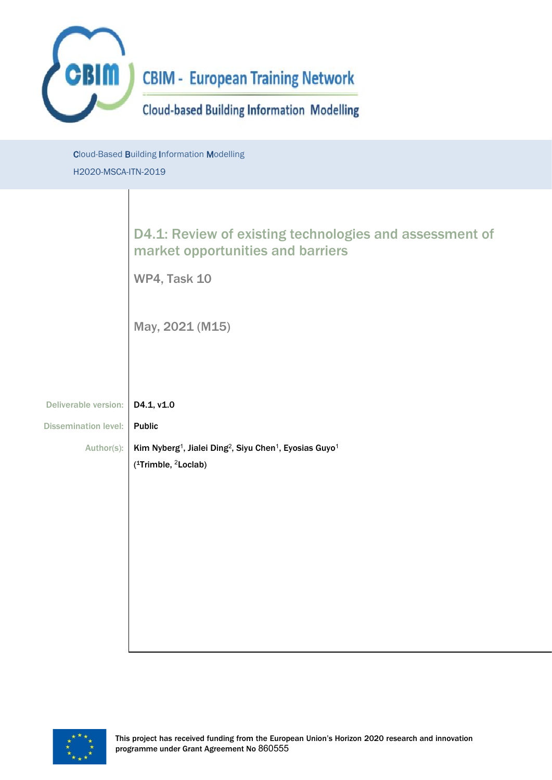

Cloud-Based Building Information Modelling H2020-MSCA-ITN-2019

# D4.1: Review of existing technologies and assessment of market opportunities and barriers

WP4, Task 10

May, 2021 (M15)

| Deliverable version:   D4.1, v1.0 |                                                                                                                      |
|-----------------------------------|----------------------------------------------------------------------------------------------------------------------|
| Dissemination level: Public       |                                                                                                                      |
|                                   | Author(s):   Kim Nyberg <sup>1</sup> , Jialei Ding <sup>2</sup> , Siyu Chen <sup>1</sup> , Eyosias Guyo <sup>1</sup> |
|                                   | $\int$ (1Trimble, <sup>2</sup> Loclab)                                                                               |

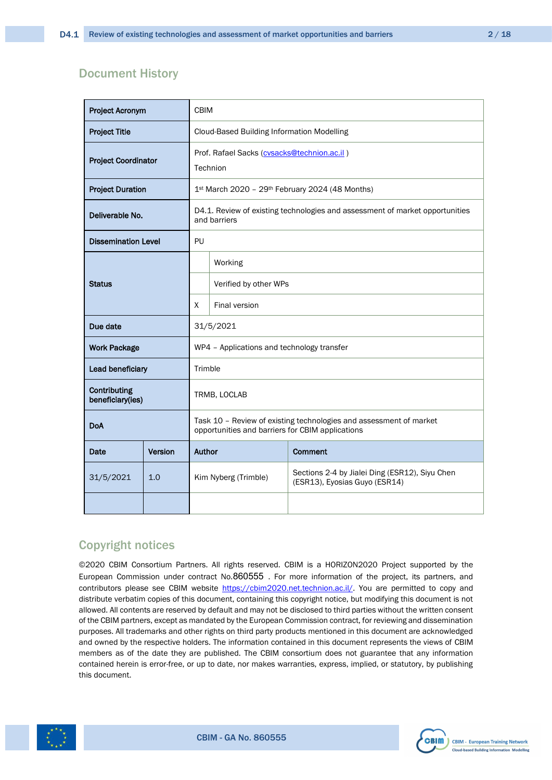### Document History

| <b>Project Acronym</b>           |         | <b>CBIM</b>                                                                                                            |                      |                                                                                 |
|----------------------------------|---------|------------------------------------------------------------------------------------------------------------------------|----------------------|---------------------------------------------------------------------------------|
| <b>Project Title</b>             |         | Cloud-Based Building Information Modelling                                                                             |                      |                                                                                 |
| <b>Project Coordinator</b>       |         | Prof. Rafael Sacks (cvsacks@technion.ac.il)<br>Technion                                                                |                      |                                                                                 |
| <b>Project Duration</b>          |         |                                                                                                                        |                      | 1st March 2020 - 29th February 2024 (48 Months)                                 |
| Deliverable No.                  |         | D4.1. Review of existing technologies and assessment of market opportunities<br>and barriers                           |                      |                                                                                 |
| <b>Dissemination Level</b>       |         | PU                                                                                                                     |                      |                                                                                 |
| <b>Status</b>                    |         | Working                                                                                                                |                      |                                                                                 |
|                                  |         | Verified by other WPs                                                                                                  |                      |                                                                                 |
|                                  |         | X<br><b>Final version</b>                                                                                              |                      |                                                                                 |
| Due date<br>31/5/2021            |         |                                                                                                                        |                      |                                                                                 |
| <b>Work Package</b>              |         | WP4 - Applications and technology transfer                                                                             |                      |                                                                                 |
| Lead beneficiary                 |         | Trimble                                                                                                                |                      |                                                                                 |
| Contributing<br>beneficiary(ies) |         | TRMB, LOCLAB                                                                                                           |                      |                                                                                 |
| DoA                              |         | Task 10 - Review of existing technologies and assessment of market<br>opportunities and barriers for CBIM applications |                      |                                                                                 |
| Date                             | Version | Author<br><b>Comment</b>                                                                                               |                      |                                                                                 |
| 31/5/2021                        | 1.0     |                                                                                                                        | Kim Nyberg (Trimble) | Sections 2-4 by Jialei Ding (ESR12), Siyu Chen<br>(ESR13), Eyosias Guyo (ESR14) |
|                                  |         |                                                                                                                        |                      |                                                                                 |

### Copyright notices

©2020 CBIM Consortium Partners. All rights reserved. CBIM is a HORIZON2020 Project supported by the European Commission under contract No.860555 . For more information of the project, its partners, and contributors please see CBIM website [https://cbim2020.net.technion.ac.il/.](https://cbim2020.net.technion.ac.il/) You are permitted to copy and distribute verbatim copies of this document, containing this copyright notice, but modifying this document is not allowed. All contents are reserved by default and may not be disclosed to third parties without the written consent of the CBIM partners, except as mandated by the European Commission contract, for reviewing and dissemination purposes. All trademarks and other rights on third party products mentioned in this document are acknowledged and owned by the respective holders. The information contained in this document represents the views of CBIM members as of the date they are published. The CBIM consortium does not guarantee that any information contained herein is error-free, or up to date, nor makes warranties, express, implied, or statutory, by publishing this document.



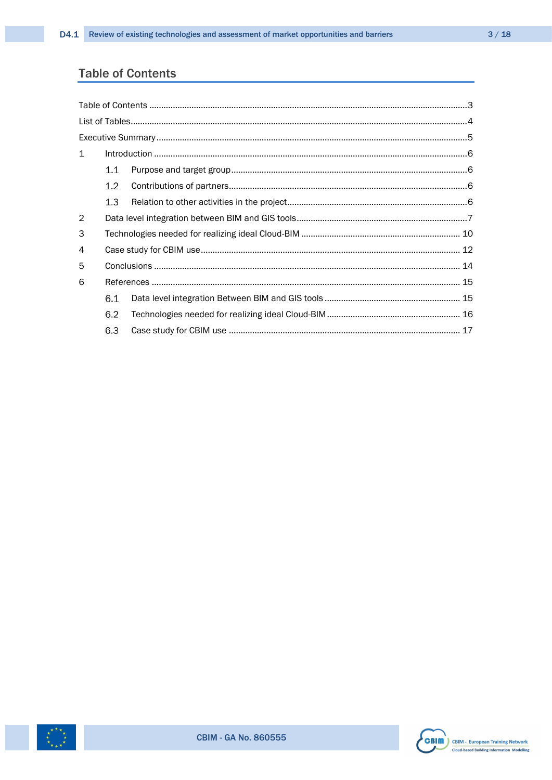## <span id="page-2-0"></span>**Table of Contents**

| $\mathbf{1}$ |                  |  |  |  |
|--------------|------------------|--|--|--|
|              | 1.1              |  |  |  |
|              | 1.2 <sub>1</sub> |  |  |  |
|              | 1.3              |  |  |  |
| 2            |                  |  |  |  |
| 3            |                  |  |  |  |
| 4            |                  |  |  |  |
| 5            |                  |  |  |  |
| 6            |                  |  |  |  |
|              | 6.1              |  |  |  |
|              | 6.2              |  |  |  |
|              | 6.3              |  |  |  |



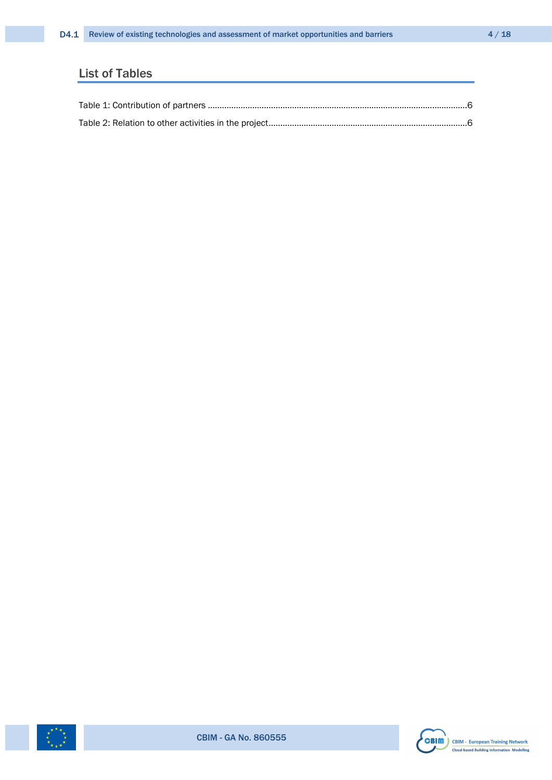# <span id="page-3-0"></span>List of Tables



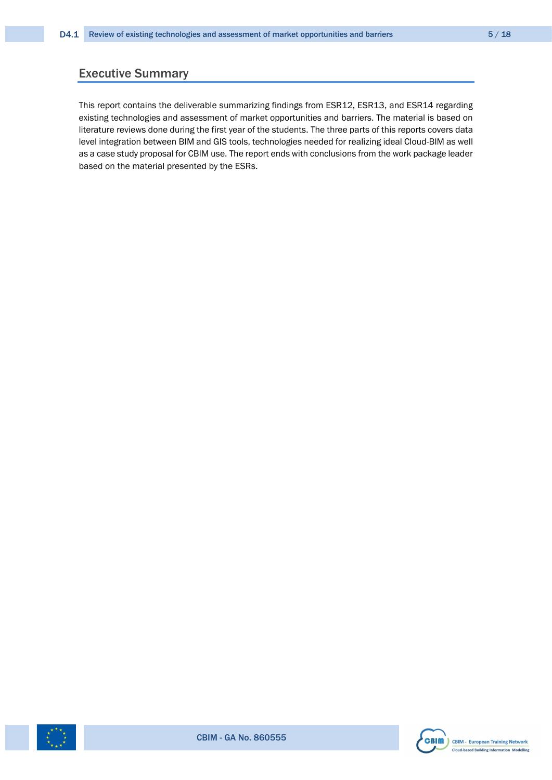### <span id="page-4-0"></span>Executive Summary

This report contains the deliverable summarizing findings from ESR12, ESR13, and ESR14 regarding existing technologies and assessment of market opportunities and barriers. The material is based on literature reviews done during the first year of the students. The three parts of this reports covers data level integration between BIM and GIS tools, technologies needed for realizing ideal Cloud-BIM as well as a case study proposal for CBIM use. The report ends with conclusions from the work package leader based on the material presented by the ESRs.



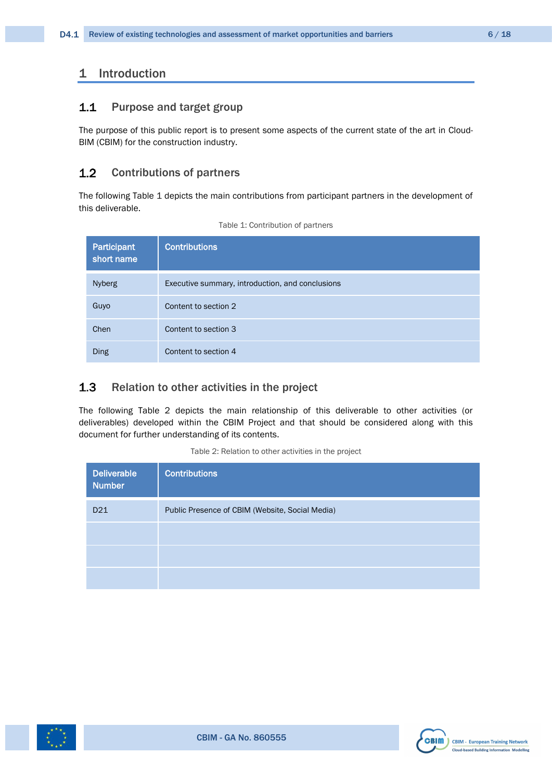### <span id="page-5-0"></span>1 Introduction

#### <span id="page-5-1"></span> $1.1$ Purpose and target group

The purpose of this public report is to present some aspects of the current state of the art in Cloud-BIM (CBIM) for the construction industry.

#### <span id="page-5-2"></span>Contributions of partners  $1.2$

The following [Table 1](#page-5-4) depicts the main contributions from participant partners in the development of this deliverable.

<span id="page-5-4"></span>

| Participant<br>short name | <b>Contributions</b>                             |
|---------------------------|--------------------------------------------------|
| <b>Nyberg</b>             | Executive summary, introduction, and conclusions |
| Guyo                      | Content to section 2                             |
| Chen                      | Content to section 3                             |
| <b>Ding</b>               | Content to section 4                             |

Table 1: Contribution of partners

#### <span id="page-5-3"></span> $1.3$ Relation to other activities in the project

The following [Table 2](#page-5-5) depicts the main relationship of this deliverable to other activities (or deliverables) developed within the CBIM Project and that should be considered along with this document for further understanding of its contents.

| Table 2: Relation to other activities in the project |  |
|------------------------------------------------------|--|
|------------------------------------------------------|--|

<span id="page-5-5"></span>

| <b>Deliverable</b><br><b>Number</b> | <b>Contributions</b>                            |
|-------------------------------------|-------------------------------------------------|
| D <sub>21</sub>                     | Public Presence of CBIM (Website, Social Media) |
|                                     |                                                 |
|                                     |                                                 |
|                                     |                                                 |



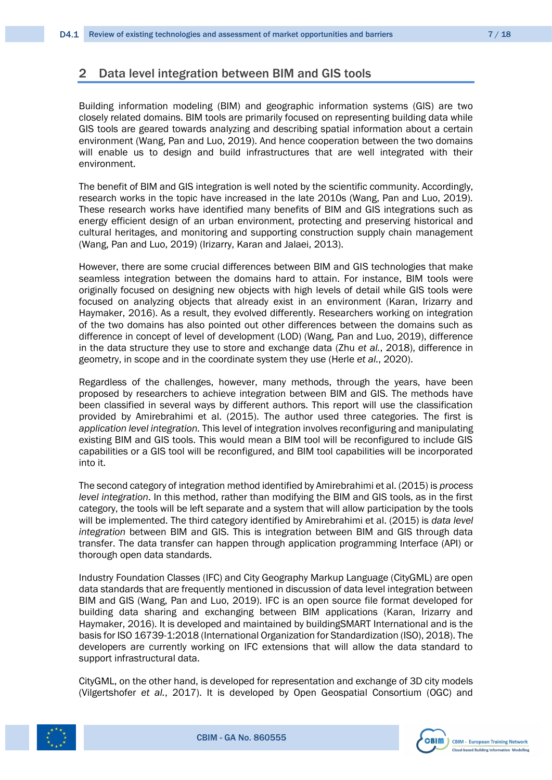### <span id="page-6-0"></span>2 Data level integration between BIM and GIS tools

Building information modeling (BIM) and geographic information systems (GIS) are two closely related domains. BIM tools are primarily focused on representing building data while GIS tools are geared towards analyzing and describing spatial information about a certain environment (Wang, Pan and Luo, 2019). And hence cooperation between the two domains will enable us to design and build infrastructures that are well integrated with their environment.

The benefit of BIM and GIS integration is well noted by the scientific community. Accordingly, research works in the topic have increased in the late 2010s (Wang, Pan and Luo, 2019). These research works have identified many benefits of BIM and GIS integrations such as energy efficient design of an urban environment, protecting and preserving historical and cultural heritages, and monitoring and supporting construction supply chain management (Wang, Pan and Luo, 2019) (Irizarry, Karan and Jalaei, 2013).

However, there are some crucial differences between BIM and GIS technologies that make seamless integration between the domains hard to attain. For instance, BIM tools were originally focused on designing new objects with high levels of detail while GIS tools were focused on analyzing objects that already exist in an environment (Karan, Irizarry and Haymaker, 2016). As a result, they evolved differently. Researchers working on integration of the two domains has also pointed out other differences between the domains such as difference in concept of level of development (LOD) (Wang, Pan and Luo, 2019), difference in the data structure they use to store and exchange data (Zhu *et al.*, 2018), difference in geometry, in scope and in the coordinate system they use (Herle *et al.*, 2020).

Regardless of the challenges, however, many methods, through the years, have been proposed by researchers to achieve integration between BIM and GIS. The methods have been classified in several ways by different authors. This report will use the classification provided by Amirebrahimi et al. (2015). The author used three categories. The first is *application level integration.* This level of integration involves reconfiguring and manipulating existing BIM and GIS tools. This would mean a BIM tool will be reconfigured to include GIS capabilities or a GIS tool will be reconfigured, and BIM tool capabilities will be incorporated into it.

The second category of integration method identified by Amirebrahimi et al. (2015) is *process level integration*. In this method, rather than modifying the BIM and GIS tools, as in the first category, the tools will be left separate and a system that will allow participation by the tools will be implemented. The third category identified by Amirebrahimi et al. (2015) is *data level integration* between BIM and GIS. This is integration between BIM and GIS through data transfer. The data transfer can happen through application programming Interface (API) or thorough open data standards.

Industry Foundation Classes (IFC) and City Geography Markup Language (CityGML) are open data standards that are frequently mentioned in discussion of data level integration between BIM and GIS (Wang, Pan and Luo, 2019). IFC is an open source file format developed for building data sharing and exchanging between BIM applications (Karan, Irizarry and Haymaker, 2016). It is developed and maintained by buildingSMART International and is the basis for ISO 16739-1:2018 (International Organization for Standardization (ISO), 2018). The developers are currently working on IFC extensions that will allow the data standard to support infrastructural data.

CityGML, on the other hand, is developed for representation and exchange of 3D city models (Vilgertshofer *et al.*, 2017). It is developed by Open Geospatial Consortium (OGC) and



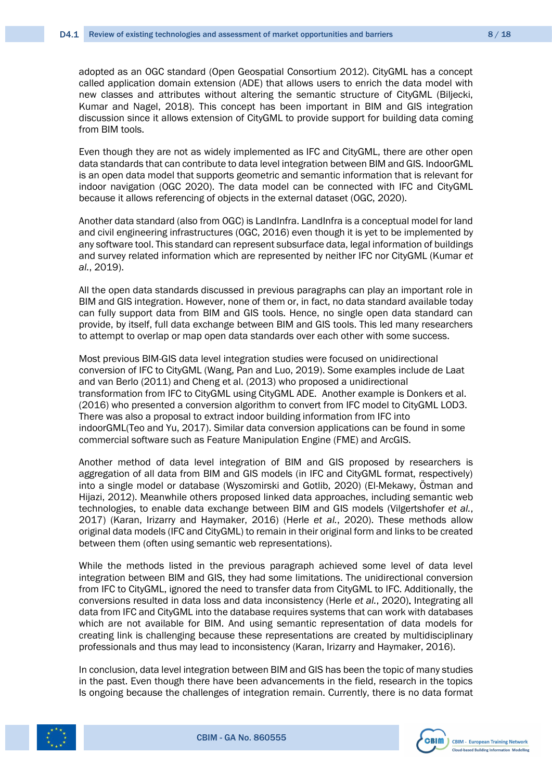adopted as an OGC standard (Open Geospatial Consortium 2012). CityGML has a concept called application domain extension (ADE) that allows users to enrich the data model with new classes and attributes without altering the semantic structure of CityGML (Biljecki, Kumar and Nagel, 2018). This concept has been important in BIM and GIS integration discussion since it allows extension of CityGML to provide support for building data coming from BIM tools.

Even though they are not as widely implemented as IFC and CityGML, there are other open data standards that can contribute to data level integration between BIM and GIS. IndoorGML is an open data model that supports geometric and semantic information that is relevant for indoor navigation (OGC 2020). The data model can be connected with IFC and CityGML because it allows referencing of objects in the external dataset (OGC, 2020).

Another data standard (also from OGC) is LandInfra. LandInfra is a conceptual model for land and civil engineering infrastructures (OGC, 2016) even though it is yet to be implemented by any software tool. This standard can represent subsurface data, legal information of buildings and survey related information which are represented by neither IFC nor CityGML (Kumar *et al.*, 2019).

All the open data standards discussed in previous paragraphs can play an important role in BIM and GIS integration. However, none of them or, in fact, no data standard available today can fully support data from BIM and GIS tools. Hence, no single open data standard can provide, by itself, full data exchange between BIM and GIS tools. This led many researchers to attempt to overlap or map open data standards over each other with some success.

Most previous BIM-GIS data level integration studies were focused on unidirectional conversion of IFC to CityGML (Wang, Pan and Luo, 2019). Some examples include de Laat and van Berlo (2011) and Cheng et al. (2013) who proposed a unidirectional transformation from IFC to CityGML using CityGML ADE. Another example is Donkers et al. (2016) who presented a conversion algorithm to convert from IFC model to CityGML LOD3. There was also a proposal to extract indoor building information from IFC into indoorGML(Teo and Yu, 2017). Similar data conversion applications can be found in some commercial software such as Feature Manipulation Engine (FME) and ArcGIS.

Another method of data level integration of BIM and GIS proposed by researchers is aggregation of all data from BIM and GIS models (in IFC and CityGML format, respectively) into a single model or database (Wyszomirski and Gotlib, 2020) (El-Mekawy, Östman and Hijazi, 2012). Meanwhile others proposed linked data approaches, including semantic web technologies, to enable data exchange between BIM and GIS models (Vilgertshofer *et al.*, 2017) (Karan, Irizarry and Haymaker, 2016) (Herle *et al.*, 2020). These methods allow original data models (IFC and CityGML) to remain in their original form and links to be created between them (often using semantic web representations).

While the methods listed in the previous paragraph achieved some level of data level integration between BIM and GIS, they had some limitations. The unidirectional conversion from IFC to CityGML, ignored the need to transfer data from CityGML to IFC. Additionally, the conversions resulted in data loss and data inconsistency (Herle *et al.*, 2020). Integrating all data from IFC and CityGML into the database requires systems that can work with databases which are not available for BIM. And using semantic representation of data models for creating link is challenging because these representations are created by multidisciplinary professionals and thus may lead to inconsistency (Karan, Irizarry and Haymaker, 2016).

In conclusion, data level integration between BIM and GIS has been the topic of many studies in the past. Even though there have been advancements in the field, research in the topics Is ongoing because the challenges of integration remain. Currently, there is no data format



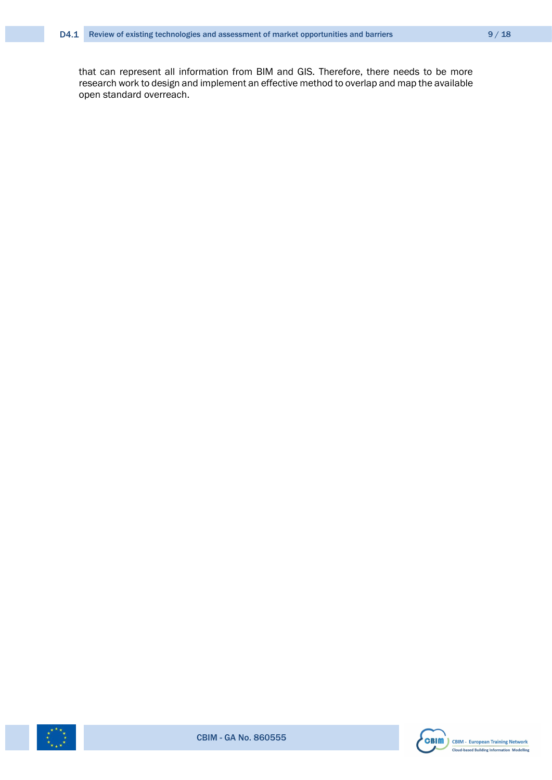that can represent all information from BIM and GIS. Therefore, there needs to be more research work to design and implement an effective method to overlap and map the available open standard overreach.





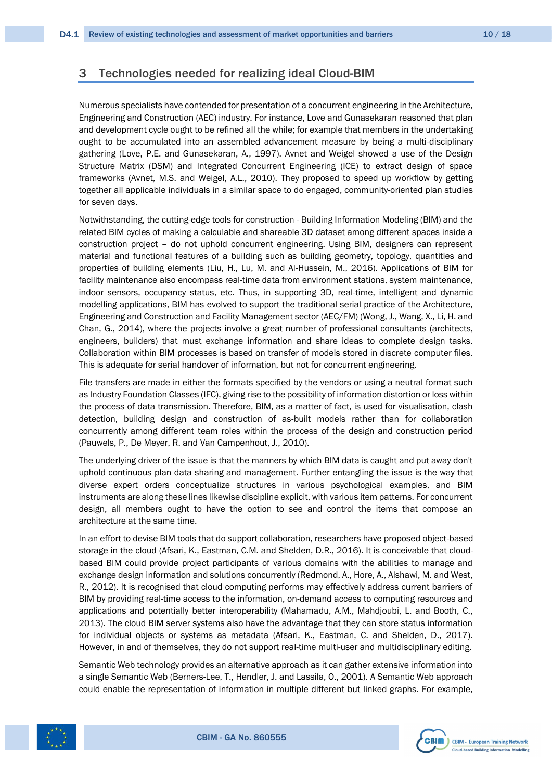### <span id="page-9-0"></span>3 Technologies needed for realizing ideal Cloud-BIM

Numerous specialists have contended for presentation of a concurrent engineering in the Architecture, Engineering and Construction (AEC) industry. For instance, Love and Gunasekaran reasoned that plan and development cycle ought to be refined all the while; for example that members in the undertaking ought to be accumulated into an assembled advancement measure by being a multi-disciplinary gathering (Love, P.E. and Gunasekaran, A., 1997). Avnet and Weigel showed a use of the Design Structure Matrix (DSM) and Integrated Concurrent Engineering (ICE) to extract design of space frameworks (Avnet, M.S. and Weigel, A.L., 2010). They proposed to speed up workflow by getting together all applicable individuals in a similar space to do engaged, community-oriented plan studies for seven days.

Notwithstanding, the cutting-edge tools for construction - Building Information Modeling (BIM) and the related BIM cycles of making a calculable and shareable 3D dataset among different spaces inside a construction project – do not uphold concurrent engineering. Using BIM, designers can represent material and functional features of a building such as building geometry, topology, quantities and properties of building elements (Liu, H., Lu, M. and Al-Hussein, M., 2016). Applications of BIM for facility maintenance also encompass real-time data from environment stations, system maintenance, indoor sensors, occupancy status, etc. Thus, in supporting 3D, real-time, intelligent and dynamic modelling applications, BIM has evolved to support the traditional serial practice of the Architecture, Engineering and Construction and Facility Management sector (AEC/FM) (Wong, J., Wang, X., Li, H. and Chan, G., 2014), where the projects involve a great number of professional consultants (architects, engineers, builders) that must exchange information and share ideas to complete design tasks. Collaboration within BIM processes is based on transfer of models stored in discrete computer files. This is adequate for serial handover of information, but not for concurrent engineering.

File transfers are made in either the formats specified by the vendors or using a neutral format such as Industry Foundation Classes (IFC), giving rise to the possibility of information distortion or loss within the process of data transmission. Therefore, BIM, as a matter of fact, is used for visualisation, clash detection, building design and construction of as-built models rather than for collaboration concurrently among different team roles within the process of the design and construction period (Pauwels, P., De Meyer, R. and Van Campenhout, J., 2010).

The underlying driver of the issue is that the manners by which BIM data is caught and put away don't uphold continuous plan data sharing and management. Further entangling the issue is the way that diverse expert orders conceptualize structures in various psychological examples, and BIM instruments are along these lines likewise discipline explicit, with various item patterns. For concurrent design, all members ought to have the option to see and control the items that compose an architecture at the same time.

In an effort to devise BIM tools that do support collaboration, researchers have proposed object-based storage in the cloud (Afsari, K., Eastman, C.M. and Shelden, D.R., 2016). It is conceivable that cloudbased BIM could provide project participants of various domains with the abilities to manage and exchange design information and solutions concurrently (Redmond, A., Hore, A., Alshawi, M. and West, R., 2012). It is recognised that cloud computing performs may effectively address current barriers of BIM by providing real-time access to the information, on-demand access to computing resources and applications and potentially better interoperability (Mahamadu, A.M., Mahdjoubi, L. and Booth, C., 2013). The cloud BIM server systems also have the advantage that they can store status information for individual objects or systems as metadata (Afsari, K., Eastman, C. and Shelden, D., 2017). However, in and of themselves, they do not support real-time multi-user and multidisciplinary editing.

Semantic Web technology provides an alternative approach as it can gather extensive information into a single Semantic Web (Berners-Lee, T., Hendler, J. and Lassila, O., 2001). A Semantic Web approach could enable the representation of information in multiple different but linked graphs. For example,



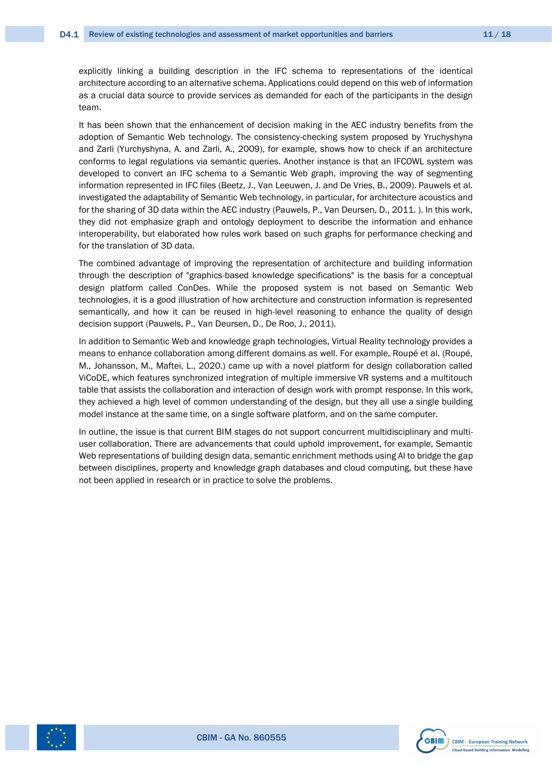explicitly linking a building description in the IFC schema to representations of the identical architecture according to an alternative schema. Applications could depend on this web of information as a crucial data source to provide services as demanded for each of the participants in the design team.

It has been shown that the enhancement of decision making in the AEC industry benefits from the adoption of Semantic Web technology. The consistency-checking system proposed by Yruchyshyna and Zarli (Yurchyshyna, A. and Zarli, A., 2009), for example, shows how to check if an architecture conforms to legal regulations via semantic queries. Another instance is that an IFCOWL system was developed to convert an IFC schema to a Semantic Web graph, improving the way of segmenting information represented in IFC files (Beetz, J., Van Leeuwen, J. and De Vries, B., 2009). Pauwels et al. investigated the adaptability of Semantic Web technology, in particular, for architecture acoustics and for the sharing of 3D data within the AEC industry (Pauwels, P., Van Deursen, D., 2011. ). In this work, they did not emphasize graph and ontology deployment to describe the information and enhance interoperability, but elaborated how rules work based on such graphs for performance checking and for the translation of 3D data.

The combined advantage of improving the representation of architecture and building information through the description of "graphics-based knowledge specifications" is the basis for a conceptual design platform called ConDes. While the proposed system is not based on Semantic Web technologies, it is a good illustration of how architecture and construction information is represented semantically, and how it can be reused in high-level reasoning to enhance the quality of design decision support (Pauwels, P., Van Deursen, D., De Roo, J., 2011).

In addition to Semantic Web and knowledge graph technologies, Virtual Reality technology provides a means to enhance collaboration among different domains as well. For example, Roupé et al. (Roupé, M., Johansson, M., Maftei, L., 2020.) came up with a novel platform for design collaboration called ViCoDE, which features synchronized integration of multiple immersive VR systems and a multitouch table that assists the collaboration and interaction of design work with prompt response. In this work, they achieved a high level of common understanding of the design, but they all use a single building model instance at the same time, on a single software platform, and on the same computer.

In outline, the issue is that current BIM stages do not support concurrent multidisciplinary and multiuser collaboration. There are advancements that could uphold improvement, for example, Semantic Web representations of building design data, semantic enrichment methods using AI to bridge the gap between disciplines, property and knowledge graph databases and cloud computing, but these have not been applied in research or in practice to solve the problems.



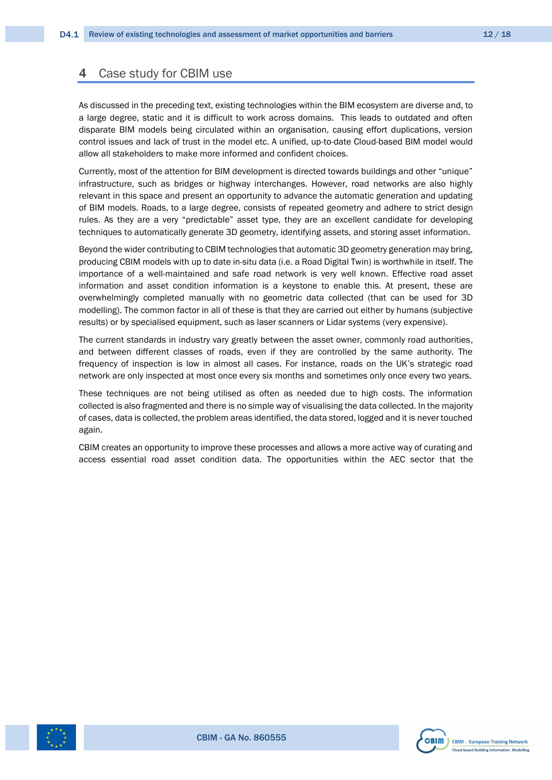### <span id="page-11-0"></span>4 Case study for CBIM use

As discussed in the preceding text, existing technologies within the BIM ecosystem are diverse and, to a large degree, static and it is difficult to work across domains. This leads to outdated and often disparate BIM models being circulated within an organisation, causing effort duplications, version control issues and lack of trust in the model etc. A unified, up-to-date Cloud-based BIM model would allow all stakeholders to make more informed and confident choices.

Currently, most of the attention for BIM development is directed towards buildings and other "unique" infrastructure, such as bridges or highway interchanges. However, road networks are also highly relevant in this space and present an opportunity to advance the automatic generation and updating of BIM models. Roads, to a large degree, consists of repeated geometry and adhere to strict design rules. As they are a very "predictable" asset type, they are an excellent candidate for developing techniques to automatically generate 3D geometry, identifying assets, and storing asset information.

Beyond the wider contributing to CBIM technologies that automatic 3D geometry generation may bring, producing CBIM models with up to date in-situ data (i.e. a Road Digital Twin) is worthwhile in itself. The importance of a well-maintained and safe road network is very well known. Effective road asset information and asset condition information is a keystone to enable this. At present, these are overwhelmingly completed manually with no geometric data collected (that can be used for 3D modelling). The common factor in all of these is that they are carried out either by humans (subjective results) or by specialised equipment, such as laser scanners or Lidar systems (very expensive).

The current standards in industry vary greatly between the asset owner, commonly road authorities, and between different classes of roads, even if they are controlled by the same authority. The frequency of inspection is low in almost all cases. For instance, roads on the UK's strategic road network are only inspected at most once every six months and sometimes only once every two years.

These techniques are not being utilised as often as needed due to high costs. The information collected is also fragmented and there is no simple way of visualising the data collected. In the majority of cases, data is collected, the problem areas identified, the data stored, logged and it is never touched again.

CBIM creates an opportunity to improve these processes and allows a more active way of curating and access essential road asset condition data. The opportunities within the AEC sector that the



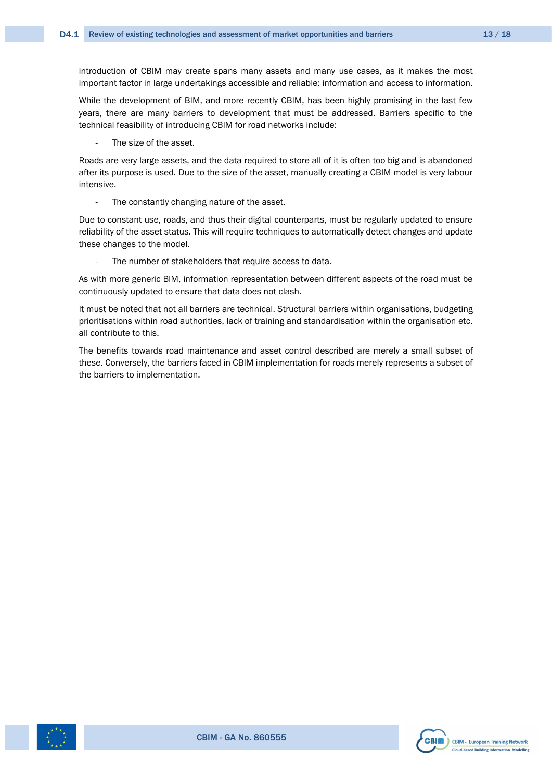introduction of CBIM may create spans many assets and many use cases, as it makes the most important factor in large undertakings accessible and reliable: information and access to information.

While the development of BIM, and more recently CBIM, has been highly promising in the last few years, there are many barriers to development that must be addressed. Barriers specific to the technical feasibility of introducing CBIM for road networks include:

The size of the asset.

Roads are very large assets, and the data required to store all of it is often too big and is abandoned after its purpose is used. Due to the size of the asset, manually creating a CBIM model is very labour intensive.

The constantly changing nature of the asset.

Due to constant use, roads, and thus their digital counterparts, must be regularly updated to ensure reliability of the asset status. This will require techniques to automatically detect changes and update these changes to the model.

The number of stakeholders that require access to data.

As with more generic BIM, information representation between different aspects of the road must be continuously updated to ensure that data does not clash.

It must be noted that not all barriers are technical. Structural barriers within organisations, budgeting prioritisations within road authorities, lack of training and standardisation within the organisation etc. all contribute to this.

The benefits towards road maintenance and asset control described are merely a small subset of these. Conversely, the barriers faced in CBIM implementation for roads merely represents a subset of the barriers to implementation.



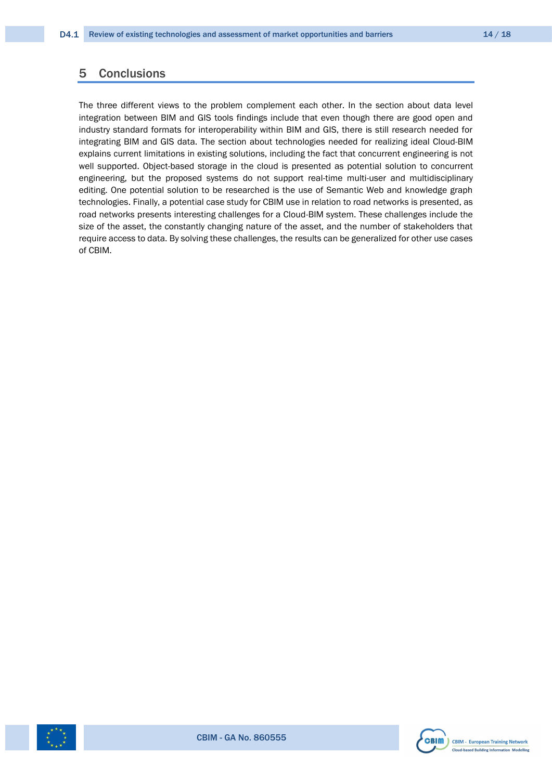### <span id="page-13-0"></span>5 Conclusions

The three different views to the problem complement each other. In the section about data level integration between BIM and GIS tools findings include that even though there are good open and industry standard formats for interoperability within BIM and GIS, there is still research needed for integrating BIM and GIS data. The section about technologies needed for realizing ideal Cloud-BIM explains current limitations in existing solutions, including the fact that concurrent engineering is not well supported. Object-based storage in the cloud is presented as potential solution to concurrent engineering, but the proposed systems do not support real-time multi-user and multidisciplinary editing. One potential solution to be researched is the use of Semantic Web and knowledge graph technologies. Finally, a potential case study for CBIM use in relation to road networks is presented, as road networks presents interesting challenges for a Cloud-BIM system. These challenges include the size of the asset, the constantly changing nature of the asset, and the number of stakeholders that require access to data. By solving these challenges, the results can be generalized for other use cases of CBIM.



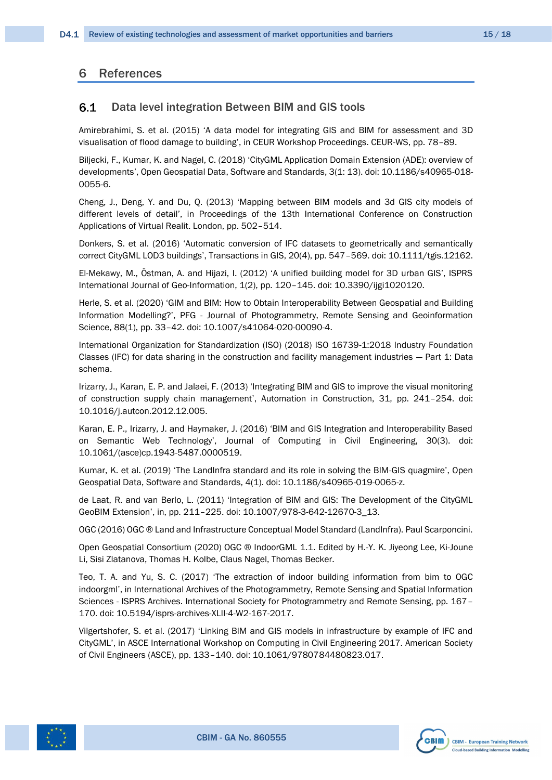### <span id="page-14-0"></span>6 References

#### <span id="page-14-1"></span> $6.1$ Data level integration Between BIM and GIS tools

Amirebrahimi, S. et al. (2015) 'A data model for integrating GIS and BIM for assessment and 3D visualisation of flood damage to building', in CEUR Workshop Proceedings. CEUR-WS, pp. 78–89.

Biljecki, F., Kumar, K. and Nagel, C. (2018) 'CityGML Application Domain Extension (ADE): overview of developments', Open Geospatial Data, Software and Standards, 3(1: 13). doi: 10.1186/s40965-018- 0055-6.

Cheng, J., Deng, Y. and Du, Q. (2013) 'Mapping between BIM models and 3d GIS city models of different levels of detail', in Proceedings of the 13th International Conference on Construction Applications of Virtual Realit. London, pp. 502–514.

Donkers, S. et al. (2016) 'Automatic conversion of IFC datasets to geometrically and semantically correct CityGML LOD3 buildings', Transactions in GIS, 20(4), pp. 547–569. doi: 10.1111/tgis.12162.

El-Mekawy, M., Östman, A. and Hijazi, I. (2012) 'A unified building model for 3D urban GIS', ISPRS International Journal of Geo-Information, 1(2), pp. 120–145. doi: 10.3390/ijgi1020120.

Herle, S. et al. (2020) 'GIM and BIM: How to Obtain Interoperability Between Geospatial and Building Information Modelling?', PFG - Journal of Photogrammetry, Remote Sensing and Geoinformation Science, 88(1), pp. 33–42. doi: 10.1007/s41064-020-00090-4.

International Organization for Standardization (ISO) (2018) ISO 16739-1:2018 Industry Foundation Classes (IFC) for data sharing in the construction and facility management industries — Part 1: Data schema.

Irizarry, J., Karan, E. P. and Jalaei, F. (2013) 'Integrating BIM and GIS to improve the visual monitoring of construction supply chain management', Automation in Construction, 31, pp. 241–254. doi: 10.1016/j.autcon.2012.12.005.

Karan, E. P., Irizarry, J. and Haymaker, J. (2016) 'BIM and GIS Integration and Interoperability Based on Semantic Web Technology', Journal of Computing in Civil Engineering, 30(3). doi: 10.1061/(asce)cp.1943-5487.0000519.

Kumar, K. et al. (2019) 'The LandInfra standard and its role in solving the BIM-GIS quagmire', Open Geospatial Data, Software and Standards, 4(1). doi: 10.1186/s40965-019-0065-z.

de Laat, R. and van Berlo, L. (2011) 'Integration of BIM and GIS: The Development of the CityGML GeoBIM Extension', in, pp. 211–225. doi: 10.1007/978-3-642-12670-3\_13.

OGC (2016) OGC ® Land and Infrastructure Conceptual Model Standard (LandInfra). Paul Scarponcini.

Open Geospatial Consortium (2020) OGC ® IndoorGML 1.1. Edited by H.-Y. K. Jiyeong Lee, Ki-Joune Li, Sisi Zlatanova, Thomas H. Kolbe, Claus Nagel, Thomas Becker.

Teo, T. A. and Yu, S. C. (2017) 'The extraction of indoor building information from bim to OGC indoorgml', in International Archives of the Photogrammetry, Remote Sensing and Spatial Information Sciences - ISPRS Archives. International Society for Photogrammetry and Remote Sensing, pp. 167– 170. doi: 10.5194/isprs-archives-XLII-4-W2-167-2017.

Vilgertshofer, S. et al. (2017) 'Linking BIM and GIS models in infrastructure by example of IFC and CityGML', in ASCE International Workshop on Computing in Civil Engineering 2017. American Society of Civil Engineers (ASCE), pp. 133–140. doi: 10.1061/9780784480823.017.



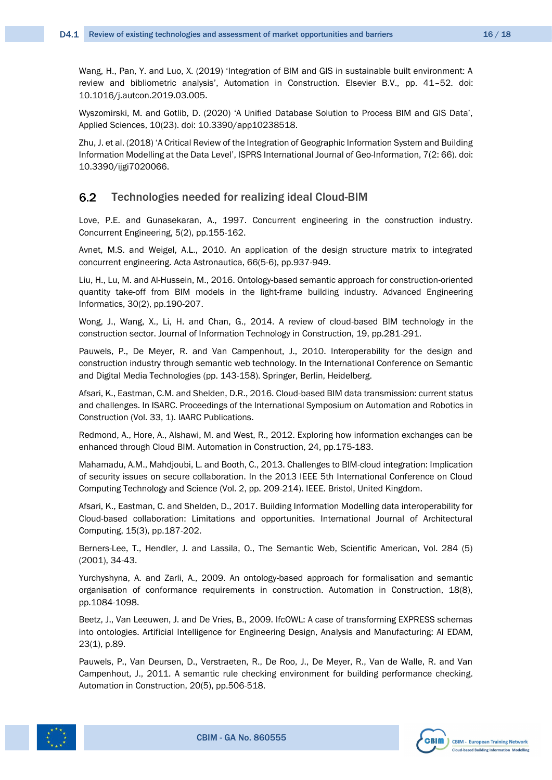Wang, H., Pan, Y. and Luo, X. (2019) 'Integration of BIM and GIS in sustainable built environment: A review and bibliometric analysis', Automation in Construction. Elsevier B.V., pp. 41–52. doi: 10.1016/j.autcon.2019.03.005.

Wyszomirski, M. and Gotlib, D. (2020) 'A Unified Database Solution to Process BIM and GIS Data', Applied Sciences, 10(23). doi: 10.3390/app10238518.

Zhu, J. et al. (2018) 'A Critical Review of the Integration of Geographic Information System and Building Information Modelling at the Data Level', ISPRS International Journal of Geo-Information, 7(2: 66). doi: 10.3390/ijgi7020066.

#### <span id="page-15-0"></span>6.2 Technologies needed for realizing ideal Cloud-BIM

Love, P.E. and Gunasekaran, A., 1997. Concurrent engineering in the construction industry. Concurrent Engineering, 5(2), pp.155-162.

Avnet, M.S. and Weigel, A.L., 2010. An application of the design structure matrix to integrated concurrent engineering. Acta Astronautica, 66(5-6), pp.937-949.

Liu, H., Lu, M. and Al-Hussein, M., 2016. Ontology-based semantic approach for construction-oriented quantity take-off from BIM models in the light-frame building industry. Advanced Engineering Informatics, 30(2), pp.190-207.

Wong, J., Wang, X., Li, H. and Chan, G., 2014. A review of cloud-based BIM technology in the construction sector. Journal of Information Technology in Construction, 19, pp.281-291.

Pauwels, P., De Meyer, R. and Van Campenhout, J., 2010. Interoperability for the design and construction industry through semantic web technology. In the International Conference on Semantic and Digital Media Technologies (pp. 143-158). Springer, Berlin, Heidelberg.

Afsari, K., Eastman, C.M. and Shelden, D.R., 2016. Cloud-based BIM data transmission: current status and challenges. In ISARC. Proceedings of the International Symposium on Automation and Robotics in Construction (Vol. 33, 1). IAARC Publications.

Redmond, A., Hore, A., Alshawi, M. and West, R., 2012. Exploring how information exchanges can be enhanced through Cloud BIM. Automation in Construction, 24, pp.175-183.

Mahamadu, A.M., Mahdjoubi, L. and Booth, C., 2013. Challenges to BIM-cloud integration: Implication of security issues on secure collaboration. In the 2013 IEEE 5th International Conference on Cloud Computing Technology and Science (Vol. 2, pp. 209-214). IEEE. Bristol, United Kingdom.

Afsari, K., Eastman, C. and Shelden, D., 2017. Building Information Modelling data interoperability for Cloud-based collaboration: Limitations and opportunities. International Journal of Architectural Computing, 15(3), pp.187-202.

Berners-Lee, T., Hendler, J. and Lassila, O., The Semantic Web, Scientific American, Vol. 284 (5) (2001), 34-43.

Yurchyshyna, A. and Zarli, A., 2009. An ontology-based approach for formalisation and semantic organisation of conformance requirements in construction. Automation in Construction, 18(8), pp.1084-1098.

Beetz, J., Van Leeuwen, J. and De Vries, B., 2009. IfcOWL: A case of transforming EXPRESS schemas into ontologies. Artificial Intelligence for Engineering Design, Analysis and Manufacturing: AI EDAM, 23(1), p.89.

Pauwels, P., Van Deursen, D., Verstraeten, R., De Roo, J., De Meyer, R., Van de Walle, R. and Van Campenhout, J., 2011. A semantic rule checking environment for building performance checking. Automation in Construction, 20(5), pp.506-518.



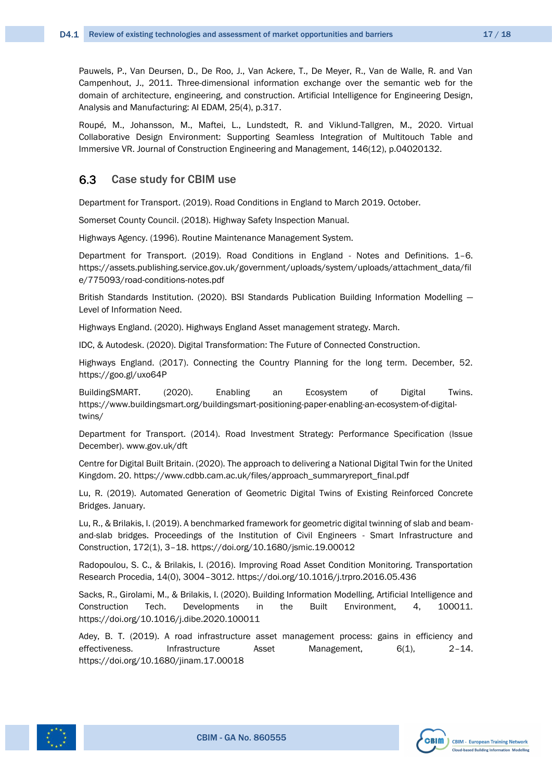Pauwels, P., Van Deursen, D., De Roo, J., Van Ackere, T., De Meyer, R., Van de Walle, R. and Van Campenhout, J., 2011. Three-dimensional information exchange over the semantic web for the domain of architecture, engineering, and construction. Artificial Intelligence for Engineering Design, Analysis and Manufacturing: AI EDAM, 25(4), p.317.

Roupé, M., Johansson, M., Maftei, L., Lundstedt, R. and Viklund-Tallgren, M., 2020. Virtual Collaborative Design Environment: Supporting Seamless Integration of Multitouch Table and Immersive VR. Journal of Construction Engineering and Management, 146(12), p.04020132.

#### <span id="page-16-0"></span>6.3 Case study for CBIM use

Department for Transport. (2019). Road Conditions in England to March 2019. October.

Somerset County Council. (2018). Highway Safety Inspection Manual.

Highways Agency. (1996). Routine Maintenance Management System.

Department for Transport. (2019). Road Conditions in England - Notes and Definitions. 1–6. https://assets.publishing.service.gov.uk/government/uploads/system/uploads/attachment\_data/fil e/775093/road-conditions-notes.pdf

British Standards Institution. (2020). BSI Standards Publication Building Information Modelling — Level of Information Need.

Highways England. (2020). Highways England Asset management strategy. March.

IDC, & Autodesk. (2020). Digital Transformation: The Future of Connected Construction.

Highways England. (2017). Connecting the Country Planning for the long term. December, 52. https://goo.gl/uxo64P

BuildingSMART. (2020). Enabling an Ecosystem of Digital Twins. https://www.buildingsmart.org/buildingsmart-positioning-paper-enabling-an-ecosystem-of-digitaltwins/

Department for Transport. (2014). Road Investment Strategy: Performance Specification (Issue December). www.gov.uk/dft

Centre for Digital Built Britain. (2020). The approach to delivering a National Digital Twin for the United Kingdom. 20. https://www.cdbb.cam.ac.uk/files/approach\_summaryreport\_final.pdf

Lu, R. (2019). Automated Generation of Geometric Digital Twins of Existing Reinforced Concrete Bridges. January.

Lu, R., & Brilakis, I. (2019). A benchmarked framework for geometric digital twinning of slab and beamand-slab bridges. Proceedings of the Institution of Civil Engineers - Smart Infrastructure and Construction, 172(1), 3–18. https://doi.org/10.1680/jsmic.19.00012

Radopoulou, S. C., & Brilakis, I. (2016). Improving Road Asset Condition Monitoring. Transportation Research Procedia, 14(0), 3004–3012. https://doi.org/10.1016/j.trpro.2016.05.436

Sacks, R., Girolami, M., & Brilakis, I. (2020). Building Information Modelling, Artificial Intelligence and Construction Tech. Developments in the Built Environment, 4, 100011. https://doi.org/10.1016/j.dibe.2020.100011

Adey, B. T. (2019). A road infrastructure asset management process: gains in efficiency and effectiveness. Infrastructure Asset Management, 6(1), 2–14. https://doi.org/10.1680/jinam.17.00018